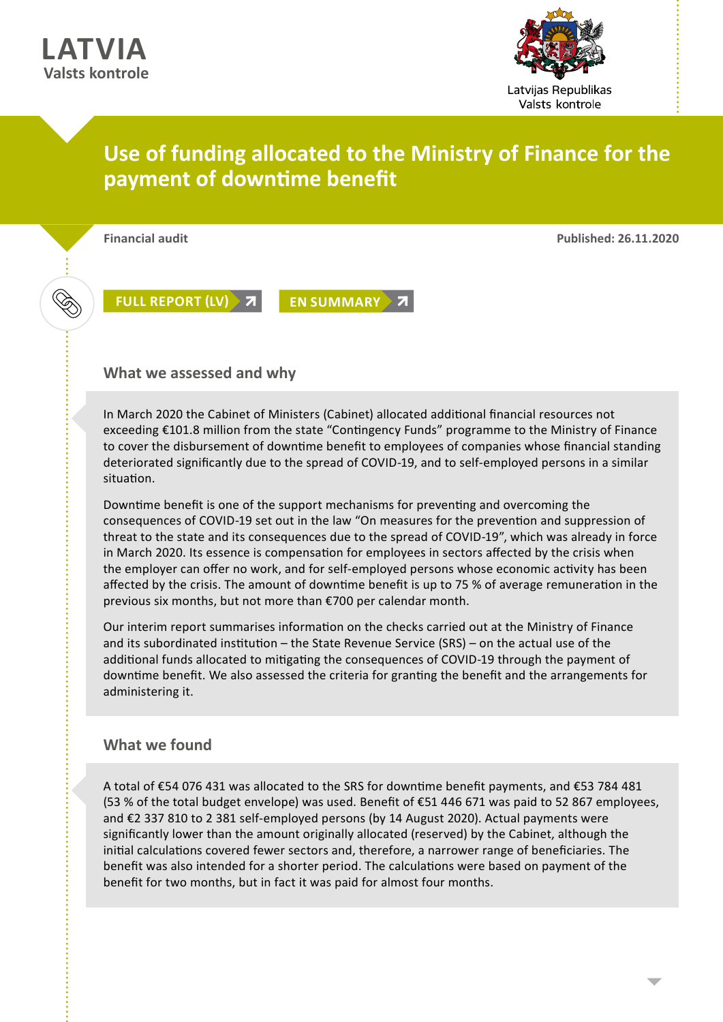

## **Use of funding allocated to the Ministry of Finance for the payment of downtime benefit**

**Financial audit Published: 26.11.2020**

**[FULL REPORT \(LV\)](https://lrvk.gov.lv/lv/revizijas/revizijas/noslegtas-revizijas/finansu-ministrijai-pieskirta-finansejuma-izlietojums-dikstaves-pabalsta-izmaksai) 7 [EN SUMMARY](https://lrvk.gov.lv/en/audit-summaries/audit-summaries/use-of-the-funding-allocated-to-the-ministry-of-finance-for-payment-of-downtime-benefit) 7** 

**What we assessed and why**

In March 2020 the Cabinet of Ministers (Cabinet) allocated additional financial resources not exceeding €101.8 million from the state "Contingency Funds" programme to the Ministry of Finance to cover the disbursement of downtime benefit to employees of companies whose financial standing deteriorated significantly due to the spread of COVID-19, and to self-employed persons in a similar situation.

Downtime benefit is one of the support mechanisms for preventing and overcoming the consequences of COVID-19 set out in the law "On measures for the prevention and suppression of threat to the state and its consequences due to the spread of COVID-19", which was already in force in March 2020. Its essence is compensation for employees in sectors affected by the crisis when the employer can offer no work, and for self-employed persons whose economic activity has been affected by the crisis. The amount of downtime benefit is up to 75 % of average remuneration in the previous six months, but not more than €700 per calendar month.

Our interim report summarises information on the checks carried out at the Ministry of Finance and its subordinated institution – the State Revenue Service (SRS) – on the actual use of the additional funds allocated to mitigating the consequences of COVID-19 through the payment of downtime benefit. We also assessed the criteria for granting the benefit and the arrangements for administering it.

## **What we found**

A total of €54 076 431 was allocated to the SRS for downtime benefit payments, and €53 784 481 (53 % of the total budget envelope) was used. Benefit of €51 446 671 was paid to 52 867 employees, and €2 337 810 to 2 381 self-employed persons (by 14 August 2020). Actual payments were significantly lower than the amount originally allocated (reserved) by the Cabinet, although the initial calculations covered fewer sectors and, therefore, a narrower range of beneficiaries. The benefit was also intended for a shorter period. The calculations were based on payment of the benefit for two months, but in fact it was paid for almost four months.